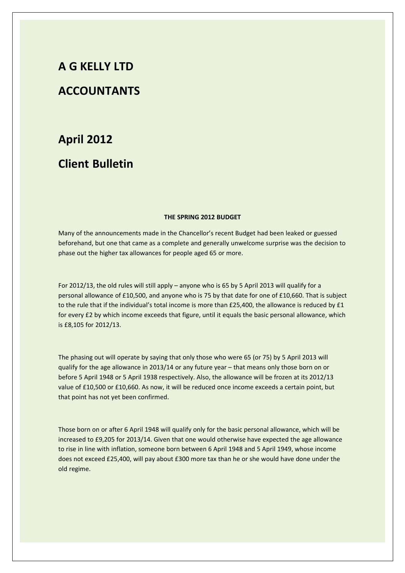# **A G KELLY LTD**

## **ACCOUNTANTS**

## **April 2012**

# **Client Bulletin**

#### **THE SPRING 2012 BUDGET**

Many of the announcements made in the Chancellor's recent Budget had been leaked or guessed beforehand, but one that came as a complete and generally unwelcome surprise was the decision to phase out the higher tax allowances for people aged 65 or more.

For 2012/13, the old rules will still apply – anyone who is 65 by 5 April 2013 will qualify for a personal allowance of £10,500, and anyone who is 75 by that date for one of £10,660. That is subject to the rule that if the individual's total income is more than £25,400, the allowance is reduced by £1 for every £2 by which income exceeds that figure, until it equals the basic personal allowance, which is £8,105 for 2012/13.

The phasing out will operate by saying that only those who were 65 (or 75) by 5 April 2013 will qualify for the age allowance in 2013/14 or any future year – that means only those born on or before 5 April 1948 or 5 April 1938 respectively. Also, the allowance will be frozen at its 2012/13 value of £10,500 or £10,660. As now, it will be reduced once income exceeds a certain point, but that point has not yet been confirmed.

Those born on or after 6 April 1948 will qualify only for the basic personal allowance, which will be increased to £9,205 for 2013/14. Given that one would otherwise have expected the age allowance to rise in line with inflation, someone born between 6 April 1948 and 5 April 1949, whose income does not exceed £25,400, will pay about £300 more tax than he or she would have done under the old regime.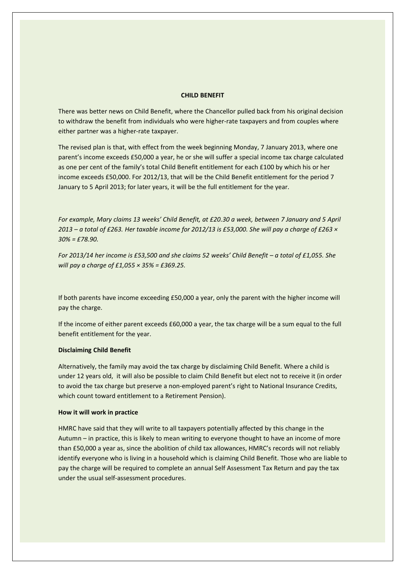#### **CHILD BENEFIT**

There was better news on Child Benefit, where the Chancellor pulled back from his original decision to withdraw the benefit from individuals who were higher-rate taxpayers and from couples where either partner was a higher-rate taxpayer.

The revised plan is that, with effect from the week beginning Monday, 7 January 2013, where one parent's income exceeds £50,000 a year, he or she will suffer a special income tax charge calculated as one per cent of the family's total Child Benefit entitlement for each £100 by which his or her income exceeds £50,000. For 2012/13, that will be the Child Benefit entitlement for the period 7 January to 5 April 2013; for later years, it will be the full entitlement for the year.

*For example, Mary claims 13 weeks' Child Benefit, at £20.30 a week, between 7 January and 5 April 2013 – a total of £263. Her taxable income for 2012/13 is £53,000. She will pay a charge of £263 × 30% = £78.90.*

*For 2013/14 her income is £53,500 and she claims 52 weeks' Child Benefit – a total of £1,055. She will pay a charge of £1,055 × 35% = £369.25.*

If both parents have income exceeding £50,000 a year, only the parent with the higher income will pay the charge.

If the income of either parent exceeds £60,000 a year, the tax charge will be a sum equal to the full benefit entitlement for the year.

#### **Disclaiming Child Benefit**

Alternatively, the family may avoid the tax charge by disclaiming Child Benefit. Where a child is under 12 years old, it will also be possible to claim Child Benefit but elect not to receive it (in order to avoid the tax charge but preserve a non-employed parent's right to National Insurance Credits, which count toward entitlement to a Retirement Pension).

### **How it will work in practice**

HMRC have said that they will write to all taxpayers potentially affected by this change in the Autumn – in practice, this is likely to mean writing to everyone thought to have an income of more than £50,000 a year as, since the abolition of child tax allowances, HMRC's records will not reliably identify everyone who is living in a household which is claiming Child Benefit. Those who are liable to pay the charge will be required to complete an annual Self Assessment Tax Return and pay the tax under the usual self-assessment procedures.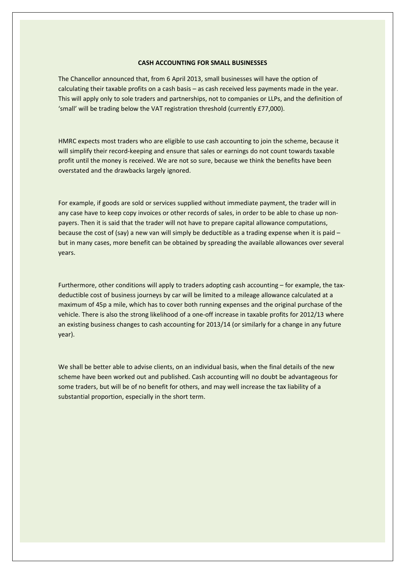### **CASH ACCOUNTING FOR SMALL BUSINESSES**

The Chancellor announced that, from 6 April 2013, small businesses will have the option of calculating their taxable profits on a cash basis – as cash received less payments made in the year. This will apply only to sole traders and partnerships, not to companies or LLPs, and the definition of 'small' will be trading below the VAT registration threshold (currently £77,000).

HMRC expects most traders who are eligible to use cash accounting to join the scheme, because it will simplify their record-keeping and ensure that sales or earnings do not count towards taxable profit until the money is received. We are not so sure, because we think the benefits have been overstated and the drawbacks largely ignored.

For example, if goods are sold or services supplied without immediate payment, the trader will in any case have to keep copy invoices or other records of sales, in order to be able to chase up nonpayers. Then it is said that the trader will not have to prepare capital allowance computations, because the cost of (say) a new van will simply be deductible as a trading expense when it is paid – but in many cases, more benefit can be obtained by spreading the available allowances over several years.

Furthermore, other conditions will apply to traders adopting cash accounting – for example, the taxdeductible cost of business journeys by car will be limited to a mileage allowance calculated at a maximum of 45p a mile, which has to cover both running expenses and the original purchase of the vehicle. There is also the strong likelihood of a one-off increase in taxable profits for 2012/13 where an existing business changes to cash accounting for 2013/14 (or similarly for a change in any future year).

We shall be better able to advise clients, on an individual basis, when the final details of the new scheme have been worked out and published. Cash accounting will no doubt be advantageous for some traders, but will be of no benefit for others, and may well increase the tax liability of a substantial proportion, especially in the short term.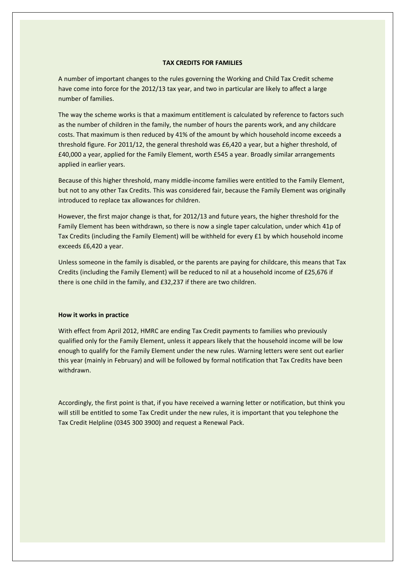## **TAX CREDITS FOR FAMILIES**

A number of important changes to the rules governing the Working and Child Tax Credit scheme have come into force for the 2012/13 tax year, and two in particular are likely to affect a large number of families.

The way the scheme works is that a maximum entitlement is calculated by reference to factors such as the number of children in the family, the number of hours the parents work, and any childcare costs. That maximum is then reduced by 41% of the amount by which household income exceeds a threshold figure. For 2011/12, the general threshold was £6,420 a year, but a higher threshold, of £40,000 a year, applied for the Family Element, worth £545 a year. Broadly similar arrangements applied in earlier years.

Because of this higher threshold, many middle-income families were entitled to the Family Element, but not to any other Tax Credits. This was considered fair, because the Family Element was originally introduced to replace tax allowances for children.

However, the first major change is that, for 2012/13 and future years, the higher threshold for the Family Element has been withdrawn, so there is now a single taper calculation, under which 41p of Tax Credits (including the Family Element) will be withheld for every £1 by which household income exceeds £6,420 a year.

Unless someone in the family is disabled, or the parents are paying for childcare, this means that Tax Credits (including the Family Element) will be reduced to nil at a household income of £25,676 if there is one child in the family, and £32,237 if there are two children.

#### **How it works in practice**

With effect from April 2012, HMRC are ending Tax Credit payments to families who previously qualified only for the Family Element, unless it appears likely that the household income will be low enough to qualify for the Family Element under the new rules. Warning letters were sent out earlier this year (mainly in February) and will be followed by formal notification that Tax Credits have been withdrawn.

Accordingly, the first point is that, if you have received a warning letter or notification, but think you will still be entitled to some Tax Credit under the new rules, it is important that you telephone the Tax Credit Helpline (0345 300 3900) and request a Renewal Pack.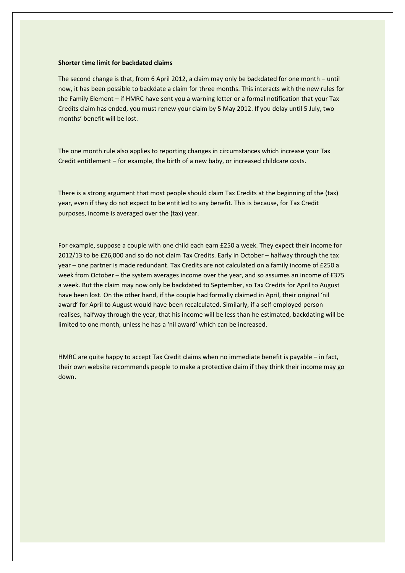### **Shorter time limit for backdated claims**

The second change is that, from 6 April 2012, a claim may only be backdated for one month – until now, it has been possible to backdate a claim for three months. This interacts with the new rules for the Family Element – if HMRC have sent you a warning letter or a formal notification that your Tax Credits claim has ended, you must renew your claim by 5 May 2012. If you delay until 5 July, two months' benefit will be lost.

The one month rule also applies to reporting changes in circumstances which increase your Tax Credit entitlement – for example, the birth of a new baby, or increased childcare costs.

There is a strong argument that most people should claim Tax Credits at the beginning of the (tax) year, even if they do not expect to be entitled to any benefit. This is because, for Tax Credit purposes, income is averaged over the (tax) year.

For example, suppose a couple with one child each earn £250 a week. They expect their income for 2012/13 to be £26,000 and so do not claim Tax Credits. Early in October – halfway through the tax year – one partner is made redundant. Tax Credits are not calculated on a family income of £250 a week from October – the system averages income over the year, and so assumes an income of £375 a week. But the claim may now only be backdated to September, so Tax Credits for April to August have been lost. On the other hand, if the couple had formally claimed in April, their original 'nil award' for April to August would have been recalculated. Similarly, if a self-employed person realises, halfway through the year, that his income will be less than he estimated, backdating will be limited to one month, unless he has a 'nil award' which can be increased.

HMRC are quite happy to accept Tax Credit claims when no immediate benefit is payable – in fact, their own website recommends people to make a protective claim if they think their income may go down.